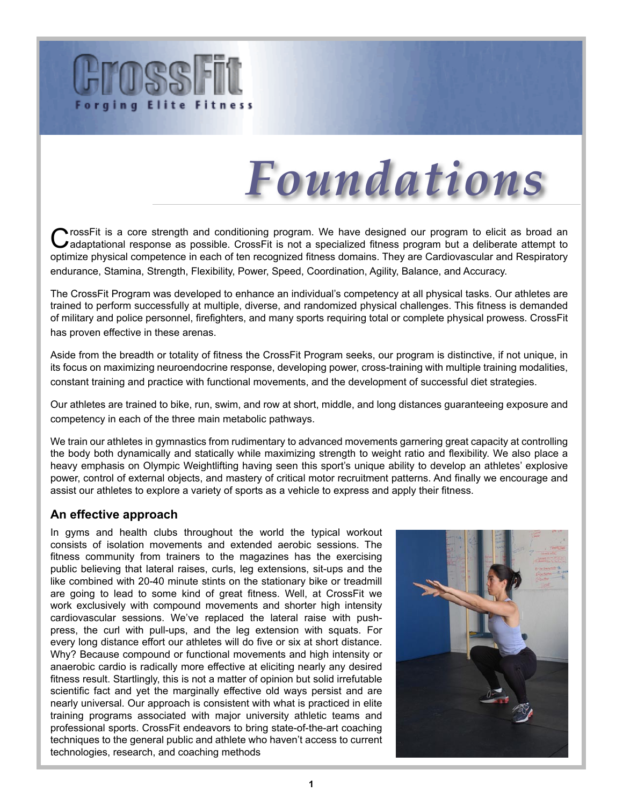



rossFit is a core strength and conditioning program. We have designed our program to elicit as broad an adaptational response as possible. CrossFit is not a specialized fitness program but a deliberate attempt to optimize physical competence in each of ten recognized fitness domains. They are Cardiovascular and Respiratory endurance, Stamina, Strength, Flexibility, Power, Speed, Coordination, Agility, Balance, and Accuracy.

The CrossFit Program was developed to enhance an individual's competency at all physical tasks. Our athletes are trained to perform successfully at multiple, diverse, and randomized physical challenges. This fitness is demanded of military and police personnel, firefighters, and many sports requiring total or complete physical prowess. CrossFit has proven effective in these arenas.

Aside from the breadth or totality of fitness the CrossFit Program seeks, our program is distinctive, if not unique, in its focus on maximizing neuroendocrine response, developing power, cross-training with multiple training modalities, constant training and practice with functional movements, and the development of successful diet strategies.

Our athletes are trained to bike, run, swim, and row at short, middle, and long distances guaranteeing exposure and competency in each of the three main metabolic pathways.

We train our athletes in gymnastics from rudimentary to advanced movements garnering great capacity at controlling the body both dynamically and statically while maximizing strength to weight ratio and flexibility. We also place a heavy emphasis on Olympic Weightlifting having seen this sport's unique ability to develop an athletes' explosive power, control of external objects, and mastery of critical motor recruitment patterns. And finally we encourage and assist our athletes to explore a variety of sports as a vehicle to express and apply their fitness.

#### **An effective approach**

In gyms and health clubs throughout the world the typical workout consists of isolation movements and extended aerobic sessions. The fitness community from trainers to the magazines has the exercising public believing that lateral raises, curls, leg extensions, sit-ups and the like combined with 20-40 minute stints on the stationary bike or treadmill are going to lead to some kind of great fitness. Well, at CrossFit we work exclusively with compound movements and shorter high intensity cardiovascular sessions. We've replaced the lateral raise with pushpress, the curl with pull-ups, and the leg extension with squats. For every long distance effort our athletes will do five or six at short distance. Why? Because compound or functional movements and high intensity or anaerobic cardio is radically more effective at eliciting nearly any desired fitness result. Startlingly, this is not a matter of opinion but solid irrefutable scientific fact and yet the marginally effective old ways persist and are nearly universal. Our approach is consistent with what is practiced in elite training programs associated with major university athletic teams and professional sports. CrossFit endeavors to bring state-of-the-art coaching techniques to the general public and athlete who haven't access to current technologies, research, and coaching methods

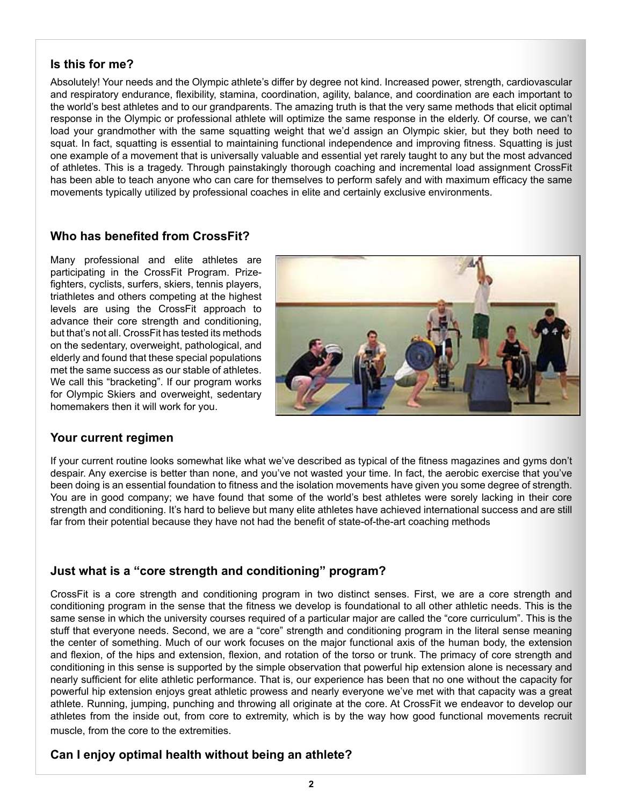#### **Is this for me?**

Absolutely! Your needs and the Olympic athlete's differ by degree not kind. Increased power, strength, cardiovascular and respiratory endurance, flexibility, stamina, coordination, agility, balance, and coordination are each important to the world's best athletes and to our grandparents. The amazing truth is that the very same methods that elicit optimal response in the Olympic or professional athlete will optimize the same response in the elderly. Of course, we can't load your grandmother with the same squatting weight that we'd assign an Olympic skier, but they both need to squat. In fact, squatting is essential to maintaining functional independence and improving fitness. Squatting is just one example of a movement that is universally valuable and essential yet rarely taught to any but the most advanced of athletes. This is a tragedy. Through painstakingly thorough coaching and incremental load assignment CrossFit has been able to teach anyone who can care for themselves to perform safely and with maximum efficacy the same movements typically utilized by professional coaches in elite and certainly exclusive environments.

#### **Who has benefited from CrossFit?**

Many professional and elite athletes are participating in the CrossFit Program. Prizefighters, cyclists, surfers, skiers, tennis players, triathletes and others competing at the highest levels are using the CrossFit approach to advance their core strength and conditioning, but that's not all. CrossFit has tested its methods on the sedentary, overweight, pathological, and elderly and found that these special populations met the same success as our stable of athletes. We call this "bracketing". If our program works for Olympic Skiers and overweight, sedentary homemakers then it will work for you.



#### **Your current regimen**

If your current routine looks somewhat like what we've described as typical of the fitness magazines and gyms don't despair. Any exercise is better than none, and you've not wasted your time. In fact, the aerobic exercise that you've been doing is an essential foundation to fitness and the isolation movements have given you some degree of strength. You are in good company; we have found that some of the world's best athletes were sorely lacking in their core strength and conditioning. It's hard to believe but many elite athletes have achieved international success and are still far from their potential because they have not had the benefit of state-of-the-art coaching methods

## **Just what is a "core strength and conditioning" program?**

CrossFit is a core strength and conditioning program in two distinct senses. First, we are a core strength and conditioning program in the sense that the fitness we develop is foundational to all other athletic needs. This is the same sense in which the university courses required of a particular major are called the "core curriculum". This is the stuff that everyone needs. Second, we are a "core" strength and conditioning program in the literal sense meaning the center of something. Much of our work focuses on the major functional axis of the human body, the extension and flexion, of the hips and extension, flexion, and rotation of the torso or trunk. The primacy of core strength and conditioning in this sense is supported by the simple observation that powerful hip extension alone is necessary and nearly sufficient for elite athletic performance. That is, our experience has been that no one without the capacity for powerful hip extension enjoys great athletic prowess and nearly everyone we've met with that capacity was a great athlete. Running, jumping, punching and throwing all originate at the core. At CrossFit we endeavor to develop our athletes from the inside out, from core to extremity, which is by the way how good functional movements recruit muscle, from the core to the extremities.

## **Can I enjoy optimal health without being an athlete?**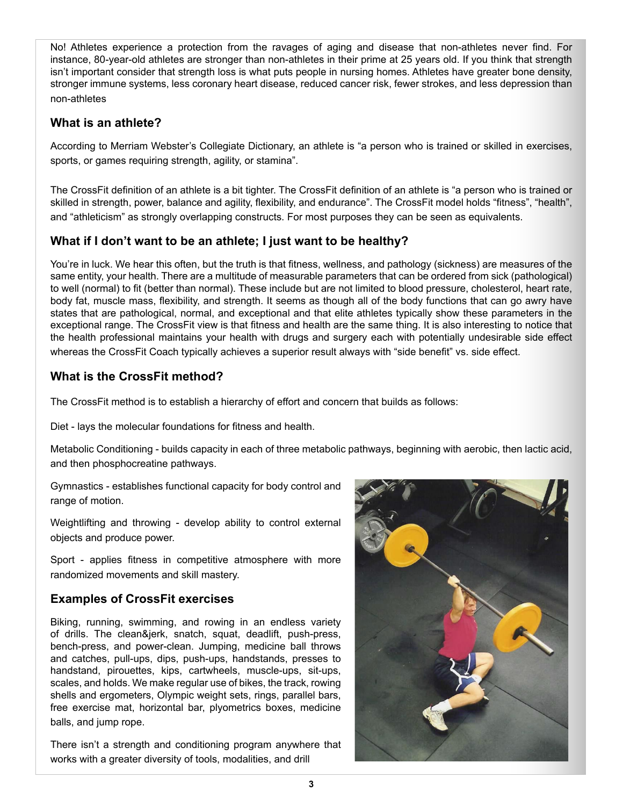No! Athletes experience a protection from the ravages of aging and disease that non-athletes never find. For instance, 80-year-old athletes are stronger than non-athletes in their prime at 25 years old. If you think that strength isn't important consider that strength loss is what puts people in nursing homes. Athletes have greater bone density, stronger immune systems, less coronary heart disease, reduced cancer risk, fewer strokes, and less depression than non-athletes

### **What is an athlete?**

According to Merriam Webster's Collegiate Dictionary, an athlete is "a person who is trained or skilled in exercises, sports, or games requiring strength, agility, or stamina".

The CrossFit definition of an athlete is a bit tighter. The CrossFit definition of an athlete is "a person who is trained or skilled in strength, power, balance and agility, flexibility, and endurance". The CrossFit model holds "fitness", "health", and "athleticism" as strongly overlapping constructs. For most purposes they can be seen as equivalents.

## **What if I don't want to be an athlete; I just want to be healthy?**

You're in luck. We hear this often, but the truth is that fitness, wellness, and pathology (sickness) are measures of the same entity, your health. There are a multitude of measurable parameters that can be ordered from sick (pathological) to well (normal) to fit (better than normal). These include but are not limited to blood pressure, cholesterol, heart rate, body fat, muscle mass, flexibility, and strength. It seems as though all of the body functions that can go awry have states that are pathological, normal, and exceptional and that elite athletes typically show these parameters in the exceptional range. The CrossFit view is that fitness and health are the same thing. It is also interesting to notice that the health professional maintains your health with drugs and surgery each with potentially undesirable side effect whereas the CrossFit Coach typically achieves a superior result always with "side benefit" vs. side effect.

## **What is the CrossFit method?**

The CrossFit method is to establish a hierarchy of effort and concern that builds as follows:

Diet - lays the molecular foundations for fitness and health.

Metabolic Conditioning - builds capacity in each of three metabolic pathways, beginning with aerobic, then lactic acid, and then phosphocreatine pathways.

Gymnastics - establishes functional capacity for body control and range of motion.

Weightlifting and throwing - develop ability to control external objects and produce power.

Sport - applies fitness in competitive atmosphere with more randomized movements and skill mastery.

## **Examples of CrossFit exercises**

Biking, running, swimming, and rowing in an endless variety of drills. The clean&jerk, snatch, squat, deadlift, push-press, bench-press, and power-clean. Jumping, medicine ball throws and catches, pull-ups, dips, push-ups, handstands, presses to handstand, pirouettes, kips, cartwheels, muscle-ups, sit-ups, scales, and holds. We make regular use of bikes, the track, rowing shells and ergometers, Olympic weight sets, rings, parallel bars, free exercise mat, horizontal bar, plyometrics boxes, medicine balls, and jump rope.

There isn't a strength and conditioning program anywhere that works with a greater diversity of tools, modalities, and drill

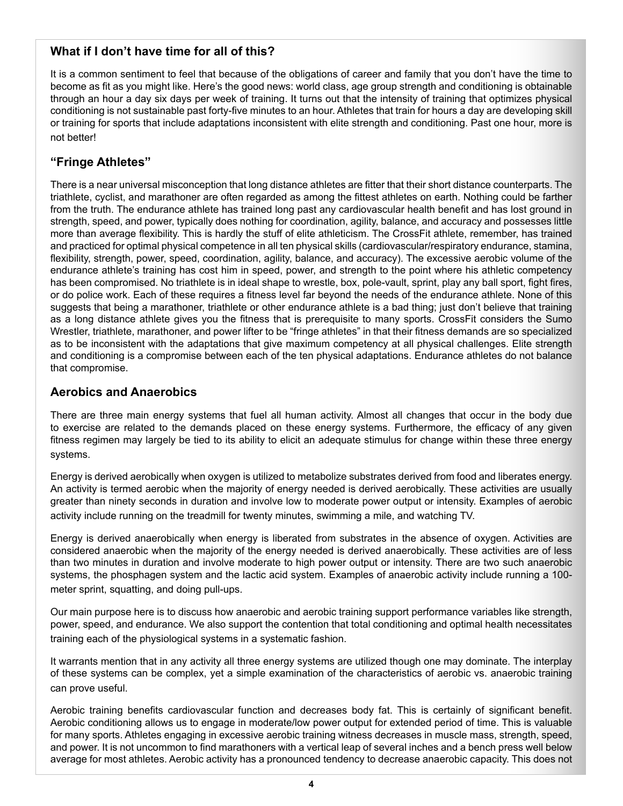#### **What if I don't have time for all of this?**

It is a common sentiment to feel that because of the obligations of career and family that you don't have the time to become as fit as you might like. Here's the good news: world class, age group strength and conditioning is obtainable through an hour a day six days per week of training. It turns out that the intensity of training that optimizes physical conditioning is not sustainable past forty-five minutes to an hour. Athletes that train for hours a day are developing skill or training for sports that include adaptations inconsistent with elite strength and conditioning. Past one hour, more is not better!

## **"Fringe Athletes"**

There is a near universal misconception that long distance athletes are fitter that their short distance counterparts. The triathlete, cyclist, and marathoner are often regarded as among the fittest athletes on earth. Nothing could be farther from the truth. The endurance athlete has trained long past any cardiovascular health benefit and has lost ground in strength, speed, and power, typically does nothing for coordination, agility, balance, and accuracy and possesses little more than average flexibility. This is hardly the stuff of elite athleticism. The CrossFit athlete, remember, has trained and practiced for optimal physical competence in all ten physical skills (cardiovascular/respiratory endurance, stamina, flexibility, strength, power, speed, coordination, agility, balance, and accuracy). The excessive aerobic volume of the endurance athlete's training has cost him in speed, power, and strength to the point where his athletic competency has been compromised. No triathlete is in ideal shape to wrestle, box, pole-vault, sprint, play any ball sport, fight fires, or do police work. Each of these requires a fitness level far beyond the needs of the endurance athlete. None of this suggests that being a marathoner, triathlete or other endurance athlete is a bad thing; just don't believe that training as a long distance athlete gives you the fitness that is prerequisite to many sports. CrossFit considers the Sumo Wrestler, triathlete, marathoner, and power lifter to be "fringe athletes" in that their fitness demands are so specialized as to be inconsistent with the adaptations that give maximum competency at all physical challenges. Elite strength and conditioning is a compromise between each of the ten physical adaptations. Endurance athletes do not balance that compromise.

### **Aerobics and Anaerobics**

There are three main energy systems that fuel all human activity. Almost all changes that occur in the body due to exercise are related to the demands placed on these energy systems. Furthermore, the efficacy of any given fitness regimen may largely be tied to its ability to elicit an adequate stimulus for change within these three energy systems.

Energy is derived aerobically when oxygen is utilized to metabolize substrates derived from food and liberates energy. An activity is termed aerobic when the majority of energy needed is derived aerobically. These activities are usually greater than ninety seconds in duration and involve low to moderate power output or intensity. Examples of aerobic activity include running on the treadmill for twenty minutes, swimming a mile, and watching TV.

Energy is derived anaerobically when energy is liberated from substrates in the absence of oxygen. Activities are considered anaerobic when the majority of the energy needed is derived anaerobically. These activities are of less than two minutes in duration and involve moderate to high power output or intensity. There are two such anaerobic systems, the phosphagen system and the lactic acid system. Examples of anaerobic activity include running a 100 meter sprint, squatting, and doing pull-ups.

Our main purpose here is to discuss how anaerobic and aerobic training support performance variables like strength, power, speed, and endurance. We also support the contention that total conditioning and optimal health necessitates training each of the physiological systems in a systematic fashion.

It warrants mention that in any activity all three energy systems are utilized though one may dominate. The interplay of these systems can be complex, yet a simple examination of the characteristics of aerobic vs. anaerobic training can prove useful.

Aerobic training benefits cardiovascular function and decreases body fat. This is certainly of significant benefit. Aerobic conditioning allows us to engage in moderate/low power output for extended period of time. This is valuable for many sports. Athletes engaging in excessive aerobic training witness decreases in muscle mass, strength, speed, and power. It is not uncommon to find marathoners with a vertical leap of several inches and a bench press well below average for most athletes. Aerobic activity has a pronounced tendency to decrease anaerobic capacity. This does not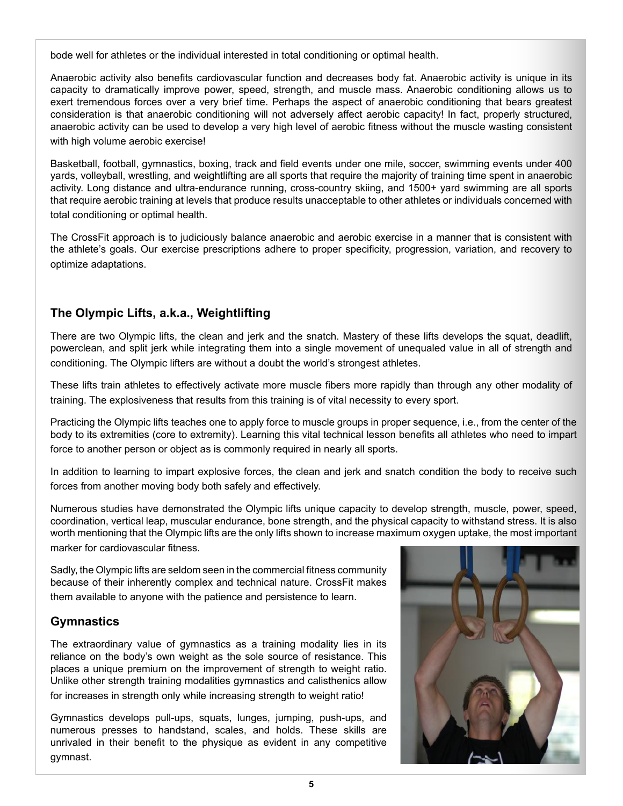bode well for athletes or the individual interested in total conditioning or optimal health.

Anaerobic activity also benefits cardiovascular function and decreases body fat. Anaerobic activity is unique in its capacity to dramatically improve power, speed, strength, and muscle mass. Anaerobic conditioning allows us to exert tremendous forces over a very brief time. Perhaps the aspect of anaerobic conditioning that bears greatest consideration is that anaerobic conditioning will not adversely affect aerobic capacity! In fact, properly structured, anaerobic activity can be used to develop a very high level of aerobic fitness without the muscle wasting consistent with high volume aerobic exercise!

Basketball, football, gymnastics, boxing, track and field events under one mile, soccer, swimming events under 400 yards, volleyball, wrestling, and weightlifting are all sports that require the majority of training time spent in anaerobic activity. Long distance and ultra-endurance running, cross-country skiing, and 1500+ yard swimming are all sports that require aerobic training at levels that produce results unacceptable to other athletes or individuals concerned with total conditioning or optimal health.

The CrossFit approach is to judiciously balance anaerobic and aerobic exercise in a manner that is consistent with the athlete's goals. Our exercise prescriptions adhere to proper specificity, progression, variation, and recovery to optimize adaptations.

## **The Olympic Lifts, a.k.a., Weightlifting**

There are two Olympic lifts, the clean and jerk and the snatch. Mastery of these lifts develops the squat, deadlift, powerclean, and split jerk while integrating them into a single movement of unequaled value in all of strength and conditioning. The Olympic lifters are without a doubt the world's strongest athletes.

These lifts train athletes to effectively activate more muscle fibers more rapidly than through any other modality of training. The explosiveness that results from this training is of vital necessity to every sport.

Practicing the Olympic lifts teaches one to apply force to muscle groups in proper sequence, i.e., from the center of the body to its extremities (core to extremity). Learning this vital technical lesson benefits all athletes who need to impart force to another person or object as is commonly required in nearly all sports.

In addition to learning to impart explosive forces, the clean and jerk and snatch condition the body to receive such forces from another moving body both safely and effectively.

Numerous studies have demonstrated the Olympic lifts unique capacity to develop strength, muscle, power, speed, coordination, vertical leap, muscular endurance, bone strength, and the physical capacity to withstand stress. It is also worth mentioning that the Olympic lifts are the only lifts shown to increase maximum oxygen uptake, the most important marker for cardiovascular fitness.

Sadly, the Olympic lifts are seldom seen in the commercial fitness community because of their inherently complex and technical nature. CrossFit makes them available to anyone with the patience and persistence to learn.

## **Gymnastics**

The extraordinary value of gymnastics as a training modality lies in its reliance on the body's own weight as the sole source of resistance. This places a unique premium on the improvement of strength to weight ratio. Unlike other strength training modalities gymnastics and calisthenics allow for increases in strength only while increasing strength to weight ratio!

Gymnastics develops pull-ups, squats, lunges, jumping, push-ups, and numerous presses to handstand, scales, and holds. These skills are unrivaled in their benefit to the physique as evident in any competitive gymnast.

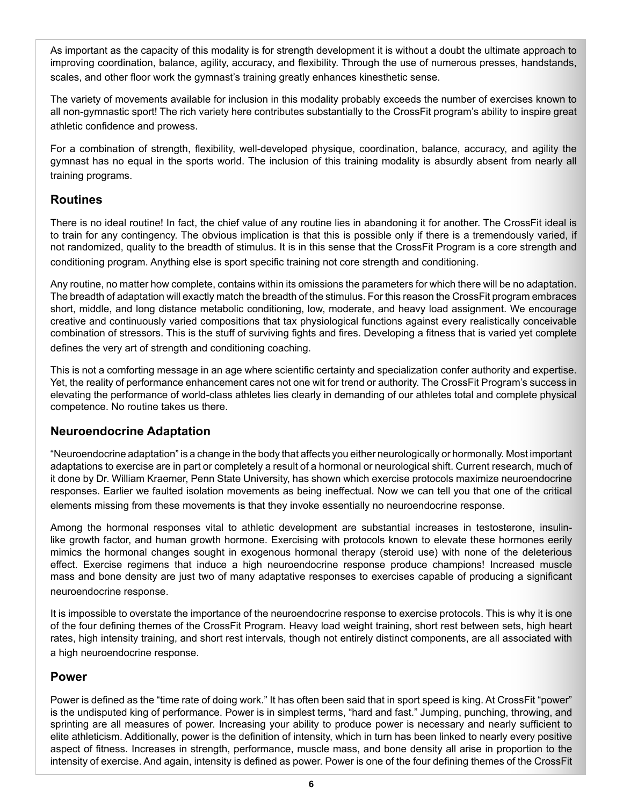As important as the capacity of this modality is for strength development it is without a doubt the ultimate approach to improving coordination, balance, agility, accuracy, and flexibility. Through the use of numerous presses, handstands, scales, and other floor work the gymnast's training greatly enhances kinesthetic sense.

The variety of movements available for inclusion in this modality probably exceeds the number of exercises known to all non-gymnastic sport! The rich variety here contributes substantially to the CrossFit program's ability to inspire great athletic confidence and prowess.

For a combination of strength, flexibility, well-developed physique, coordination, balance, accuracy, and agility the gymnast has no equal in the sports world. The inclusion of this training modality is absurdly absent from nearly all training programs.

#### **Routines**

There is no ideal routine! In fact, the chief value of any routine lies in abandoning it for another. The CrossFit ideal is to train for any contingency. The obvious implication is that this is possible only if there is a tremendously varied, if not randomized, quality to the breadth of stimulus. It is in this sense that the CrossFit Program is a core strength and conditioning program. Anything else is sport specific training not core strength and conditioning.

Any routine, no matter how complete, contains within its omissions the parameters for which there will be no adaptation. The breadth of adaptation will exactly match the breadth of the stimulus. For this reason the CrossFit program embraces short, middle, and long distance metabolic conditioning, low, moderate, and heavy load assignment. We encourage creative and continuously varied compositions that tax physiological functions against every realistically conceivable combination of stressors. This is the stuff of surviving fights and fires. Developing a fitness that is varied yet complete defines the very art of strength and conditioning coaching.

This is not a comforting message in an age where scientific certainty and specialization confer authority and expertise. Yet, the reality of performance enhancement cares not one wit for trend or authority. The CrossFit Program's success in elevating the performance of world-class athletes lies clearly in demanding of our athletes total and complete physical competence. No routine takes us there.

#### **Neuroendocrine Adaptation**

"Neuroendocrine adaptation" is a change in the body that affects you either neurologically or hormonally. Most important adaptations to exercise are in part or completely a result of a hormonal or neurological shift. Current research, much of it done by Dr. William Kraemer, Penn State University, has shown which exercise protocols maximize neuroendocrine responses. Earlier we faulted isolation movements as being ineffectual. Now we can tell you that one of the critical elements missing from these movements is that they invoke essentially no neuroendocrine response.

Among the hormonal responses vital to athletic development are substantial increases in testosterone, insulinlike growth factor, and human growth hormone. Exercising with protocols known to elevate these hormones eerily mimics the hormonal changes sought in exogenous hormonal therapy (steroid use) with none of the deleterious effect. Exercise regimens that induce a high neuroendocrine response produce champions! Increased muscle mass and bone density are just two of many adaptative responses to exercises capable of producing a significant neuroendocrine response.

It is impossible to overstate the importance of the neuroendocrine response to exercise protocols. This is why it is one of the four defining themes of the CrossFit Program. Heavy load weight training, short rest between sets, high heart rates, high intensity training, and short rest intervals, though not entirely distinct components, are all associated with a high neuroendocrine response.

#### **Power**

Power is defined as the "time rate of doing work." It has often been said that in sport speed is king. At CrossFit "power" is the undisputed king of performance. Power is in simplest terms, "hard and fast." Jumping, punching, throwing, and sprinting are all measures of power. Increasing your ability to produce power is necessary and nearly sufficient to elite athleticism. Additionally, power is the definition of intensity, which in turn has been linked to nearly every positive aspect of fitness. Increases in strength, performance, muscle mass, and bone density all arise in proportion to the intensity of exercise. And again, intensity is defined as power. Power is one of the four defining themes of the CrossFit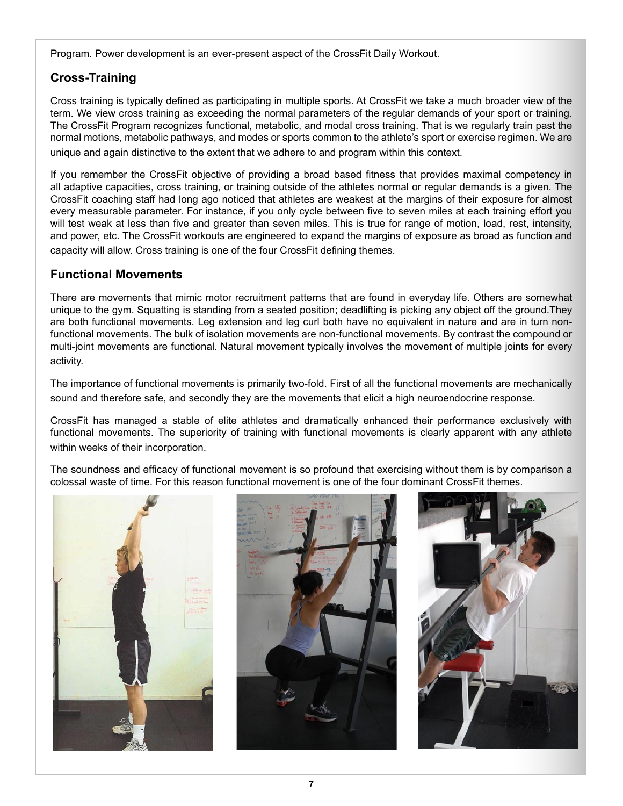Program. Power development is an ever-present aspect of the CrossFit Daily Workout.

# **Cross-Training**

Cross training is typically defined as participating in multiple sports. At CrossFit we take a much broader view of the term. We view cross training as exceeding the normal parameters of the regular demands of your sport or training. The CrossFit Program recognizes functional, metabolic, and modal cross training. That is we regularly train past the normal motions, metabolic pathways, and modes or sports common to the athlete's sport or exercise regimen. We are unique and again distinctive to the extent that we adhere to and program within this context.

If you remember the CrossFit objective of providing a broad based fitness that provides maximal competency in all adaptive capacities, cross training, or training outside of the athletes normal or regular demands is a given. The CrossFit coaching staff had long ago noticed that athletes are weakest at the margins of their exposure for almost every measurable parameter. For instance, if you only cycle between five to seven miles at each training effort you will test weak at less than five and greater than seven miles. This is true for range of motion, load, rest, intensity, and power, etc. The CrossFit workouts are engineered to expand the margins of exposure as broad as function and capacity will allow. Cross training is one of the four CrossFit defining themes.

### **Functional Movements**

There are movements that mimic motor recruitment patterns that are found in everyday life. Others are somewhat unique to the gym. Squatting is standing from a seated position; deadlifting is picking any object off the ground.They are both functional movements. Leg extension and leg curl both have no equivalent in nature and are in turn nonfunctional movements. The bulk of isolation movements are non-functional movements. By contrast the compound or multi-joint movements are functional. Natural movement typically involves the movement of multiple joints for every activity.

The importance of functional movements is primarily two-fold. First of all the functional movements are mechanically sound and therefore safe, and secondly they are the movements that elicit a high neuroendocrine response.

CrossFit has managed a stable of elite athletes and dramatically enhanced their performance exclusively with functional movements. The superiority of training with functional movements is clearly apparent with any athlete within weeks of their incorporation.

The soundness and efficacy of functional movement is so profound that exercising without them is by comparison a colossal waste of time. For this reason functional movement is one of the four dominant CrossFit themes.